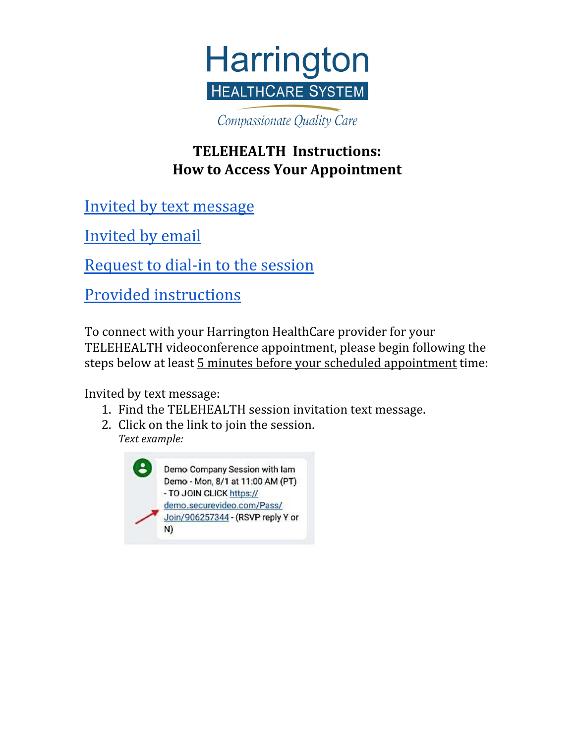

Compassionate Quality Care

## **TELEHEALTH Instructions: How to Access Your Appointment**

[Invited by text message](#page-0-0)

[Invited by email](#page-1-0)

[Request to dial-in to the session](#page-3-0)

[Provided instructions](#page-3-1)

To connect with your Harrington HealthCare provider for your TELEHEALTH videoconference appointment, please begin following the steps below at least 5 minutes before your scheduled appointment time:

<span id="page-0-0"></span>Invited by text message:

- 1. Find the TELEHEALTH session invitation text message.
- 2. Click on the link to join the session. *Text example:*

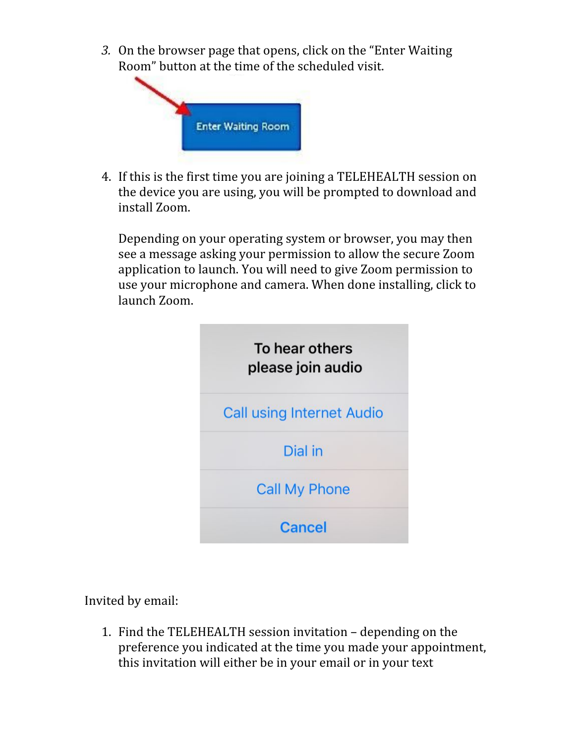*3.* On the browser page that opens, click on the "Enter Waiting Room" button at the time of the scheduled visit.



4. If this is the first time you are joining a TELEHEALTH session on the device you are using, you will be prompted to download and install Zoom.

Depending on your operating system or browser, you may then see a message asking your permission to allow the secure Zoom application to launch. You will need to give Zoom permission to use your microphone and camera. When done installing, click to launch Zoom.



<span id="page-1-0"></span>Invited by email:

1. Find the TELEHEALTH session invitation – depending on the preference you indicated at the time you made your appointment, this invitation will either be in your email or in your text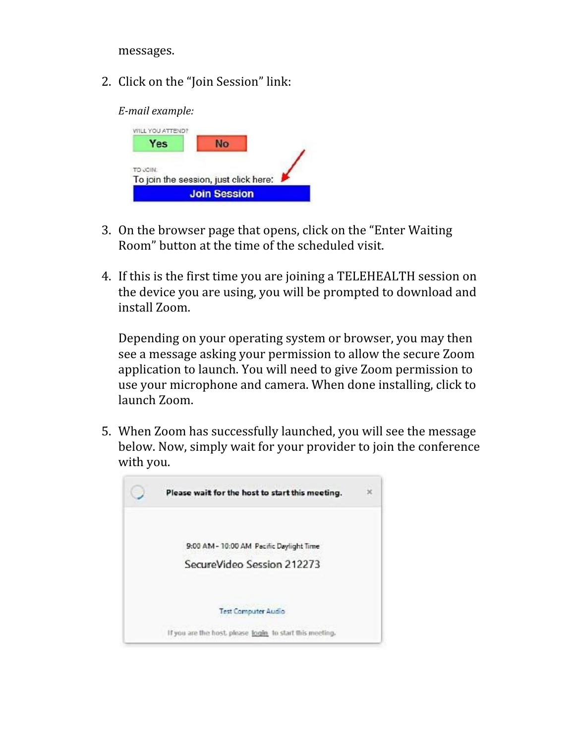messages.

2. Click on the "Join Session" link:



- 3. On the browser page that opens, click on the "Enter Waiting Room" button at the time of the scheduled visit.
- 4. If this is the first time you are joining a TELEHEALTH session on the device you are using, you will be prompted to download and install Zoom.

Depending on your operating system or browser, you may then see a message asking your permission to allow the secure Zoom application to launch. You will need to give Zoom permission to use your microphone and camera. When done installing, click to launch Zoom.

5. When Zoom has successfully launched, you will see the message below. Now, simply wait for your provider to join the conference with you.